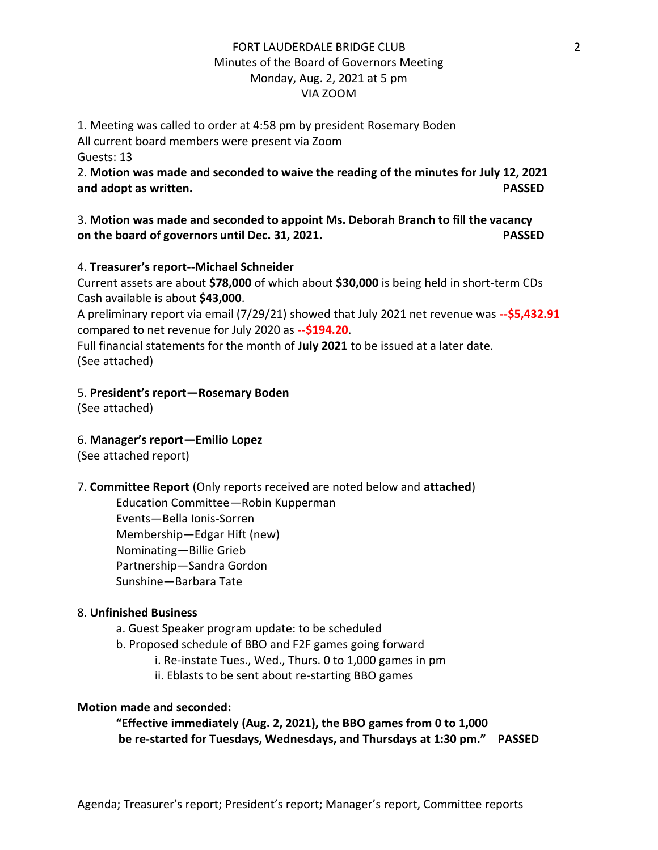## FORT LAUDERDALE BRIDGE CLUB Minutes of the Board of Governors Meeting Monday, Aug. 2, 2021 at 5 pm VIA ZOOM

1. Meeting was called to order at 4:58 pm by president Rosemary Boden All current board members were present via Zoom Guests: 13

2. **Motion was made and seconded to waive the reading of the minutes for July 12, 2021 and adopt as written. PASSED**

3. **Motion was made and seconded to appoint Ms. Deborah Branch to fill the vacancy on the board of governors until Dec. 31, 2021. PASSED**

#### 4. **Treasurer's report--Michael Schneider**

Current assets are about **\$78,000** of which about **\$30,000** is being held in short-term CDs Cash available is about **\$43,000**.

A preliminary report via email (7/29/21) showed that July 2021 net revenue was **--\$5,432.91** compared to net revenue for July 2020 as **--\$194.20**.

Full financial statements for the month of **July 2021** to be issued at a later date. (See attached)

## 5. **President's report—Rosemary Boden**

(See attached)

## 6. **Manager's report—Emilio Lopez**

(See attached report)

## 7. **Committee Report** (Only reports received are noted below and **attached**)

Education Committee—Robin Kupperman Events—Bella Ionis-Sorren Membership—Edgar Hift (new) Nominating—Billie Grieb Partnership—Sandra Gordon Sunshine—Barbara Tate

#### 8. **Unfinished Business**

- a. Guest Speaker program update: to be scheduled
- b. Proposed schedule of BBO and F2F games going forward
	- i. Re-instate Tues., Wed., Thurs. 0 to 1,000 games in pm
	- ii. Eblasts to be sent about re-starting BBO games

#### **Motion made and seconded:**

**"Effective immediately (Aug. 2, 2021), the BBO games from 0 to 1,000 be re-started for Tuesdays, Wednesdays, and Thursdays at 1:30 pm." PASSED**